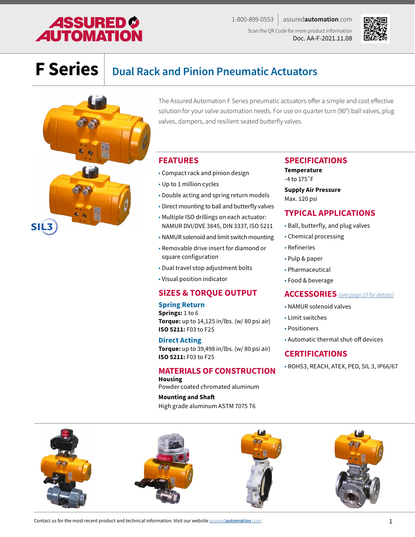# **ASSURED O**<br>**AUTOMATION**

1-800-899-0553 assured**automation**.com Scan the QR Code for more product information Doc. AA-F-2021.11.08



# **F Series Dual Rack and Pinion Pneumatic Actuators**



The Assured Automation F Series pneumatic actuators offer a simple and cost effective solution for your valve automation needs. For use on quarter turn (90°) ball valves, plug valves, dampers, and resilient seated butterfly valves.

### **FEATURES**

- Compact rack and pinion design
- Up to 1 million cycles
- Double acting and spring return models
- Direct mounting to ball and butterfly valves
- Multiple ISO drillings on each actuator: NAMUR DVI/DVE 3845, DIN 3337, ISO 5211
- NAMUR solenoid and limit switch mounting
- Removable drive insert for diamond or square configuration
- Dual travel stop adjustment bolts
- Visual position indicator

### **SIZES & TORQUE OUTPUT**

#### **Spring Return**

**Springs:** 1 to 6 **Torque:** up to 14,125 in/lbs. (w/ 80 psi air) **ISO 5211:** F03 to F25

### **Direct Acting**

**Torque:** up to 39,498 in/lbs. (w/ 80 psi air) **ISO 5211:** F03 to F25

### **MATERIALS OF CONSTRUCTION**

**Housing** Powder coated chromated aluminum

**Mounting and Shaft** High grade aluminum ASTM 7075 T6

### **SPECIFICATIONS Temperature**

-4 to 175˚F

**Supply Air Pressure** Max. 120 psi

### **TYPICAL APPLICATIONS**

- Ball, butterfly, and plug valves
- Chemical processing
- Refineries
- Pulp & paper
- Pharmaceutical
- Food & beverage

### **ACCESSORIES** *[\(see page 10 for details\)](#page-9-0)*

- NAMUR solenoid valves
- Limit switches
- Positioners
- Automatic thermal shut-off devices

### **CERTIFICATIONS**

• ROHS3, REACH, ATEX, PED, SIL 3, IP66/67

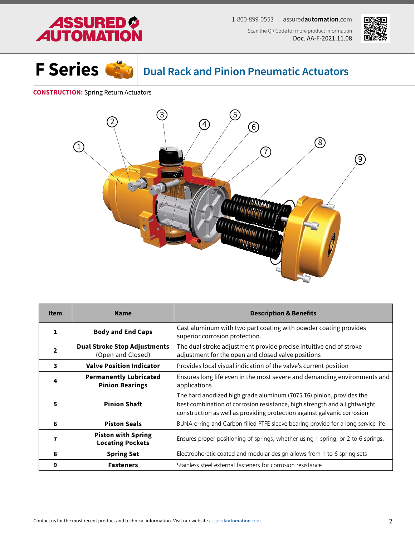





## **Dual Rack and Pinion Pneumatic Actuators**

### **CONSTRUCTION:** Spring Return Actuators



| <b>Item</b>    | <b>Name</b>                                              | <b>Description &amp; Benefits</b>                                                                                                                                                                                            |
|----------------|----------------------------------------------------------|------------------------------------------------------------------------------------------------------------------------------------------------------------------------------------------------------------------------------|
| 1              | <b>Body and End Caps</b>                                 | Cast aluminum with two part coating with powder coating provides<br>superior corrosion protection.                                                                                                                           |
| $\overline{2}$ | <b>Dual Stroke Stop Adjustments</b><br>(Open and Closed) | The dual stroke adjustment provide precise intuitive end of stroke<br>adjustment for the open and closed valve positions                                                                                                     |
| 3              | <b>Valve Position Indicator</b>                          | Provides local visual indication of the valve's current position                                                                                                                                                             |
| 4              | <b>Permanently Lubricated</b><br><b>Pinion Bearings</b>  | Ensures long life even in the most severe and demanding environments and<br>applications                                                                                                                                     |
| 5              | <b>Pinion Shaft</b>                                      | The hard anodized high grade aluminum (7075 T6) pinion, provides the<br>best combination of corrosion resistance, high strength and a lightweight<br>construction as well as providing protection against galvanic corrosion |
| 6              | <b>Piston Seals</b>                                      | BUNA o-ring and Carbon filled PTFE sleeve bearing provide for a long service life                                                                                                                                            |
|                | <b>Piston with Spring</b><br><b>Locating Pockets</b>     | Ensures proper positioning of springs, whether using 1 spring, or 2 to 6 springs.                                                                                                                                            |
| 8              | <b>Spring Set</b>                                        | Electrophoretic coated and modular design allows from 1 to 6 spring sets                                                                                                                                                     |
| 9              | <b>Fasteners</b>                                         | Stainless steel external fasteners for corrosion resistance                                                                                                                                                                  |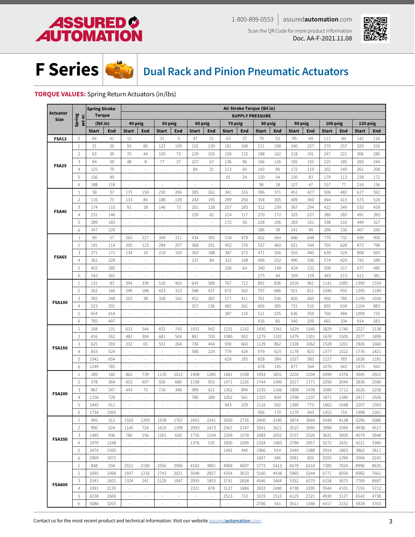<span id="page-2-0"></span>





## **Dual Rack and Pinion Pneumatic Actuators**

### **TORQUE VALUES:** Spring Return Actuators (in/lbs)

|               |                   | <b>Spring Stroke</b> |      |                          |                          |                          |                          |                     |                          |                          | Air Stroke Torque (lbf.in) |              |            |              |      |              |      |              |            |
|---------------|-------------------|----------------------|------|--------------------------|--------------------------|--------------------------|--------------------------|---------------------|--------------------------|--------------------------|----------------------------|--------------|------------|--------------|------|--------------|------|--------------|------------|
| Actuator      |                   | <b>Torque</b>        |      |                          |                          |                          |                          |                     |                          |                          | <b>SUPPLY PRESSURE</b>     |              |            |              |      |              |      |              |            |
| <b>Size</b>   | Spring<br>set nr. | (lbf.in)             |      | 40 psig                  |                          |                          | 50 psig                  | 60 psig             |                          | 70 psig                  |                            | 80 psig      |            | 90 psig      |      | 100 psig     |      | 120 psig     |            |
| <b>FSA12</b>  |                   | <b>Start</b>         | End  | <b>Start</b>             | End                      | <b>Start</b>             | End                      | <b>Start</b>        | End                      | <b>Start</b>             | End                        | <b>Start</b> | <b>End</b> | <b>Start</b> | End  | <b>Start</b> | End  | <b>Start</b> | <b>End</b> |
|               | $\overline{2}$    | 64                   | 41   | 15                       | ÷,                       | 31                       | 5                        | 47                  | 21                       | 63                       | 37                         | 79           | 53         | 95           | 69   | 111          | 84   | 142          | 116        |
|               | 1                 | 31                   | 20   | 93                       | 80                       | 123                      | 109                      | 152                 | 139                      | 181                      | 168                        | 211          | 198        | 240          | 227  | 270          | 257  | 329          | 316        |
|               | $\overline{2}$    | 63                   | 39   | 70                       | 44                       | 100                      | 73                       | 129                 | 103                      | 159                      | 132                        | 188          | 162        | 218          | 191  | 247          | 221  | 306          | 280        |
|               | 3                 | 94                   | 59   | 48                       | 8                        | 77                       | 37                       | 107                 | 67                       | 136                      | 96                         | 166          | 126        | 195          | 155  | 225          | 185  | 283          | 244        |
| <b>FSA25</b>  | $\overline{4}$    | 125                  | 79   | ÷.                       | ä,                       | ٠                        | ä,                       | 84                  | 31                       | 113                      | 60                         | 143          | 90         | 172          | 119  | 202          | 149  | 261          | 208        |
|               | 5                 | 156                  | 99   | ÷.                       | $\overline{\phantom{a}}$ |                          | ÷.                       | ÷,                  | ×,                       | 91                       | 24                         | 120          | 54         | 150          | 83   | 179          | 113  | 238          | 172        |
|               | 6                 | 188                  | 118  | à.                       | ä,                       | ×,                       | ä,                       | $\sim$              | $\sim$                   | $\overline{a}$           | $\overline{a}$             | 98           | 18         | 127          | 47   | 157          | 77   | 216          | 136        |
|               | $\mathbf{1}$      | 58                   | 37   | 175                      | 150                      | 230                      | 206                      | 285                 | 261                      | 341                      | 316                        | 396          | 371        | 451          | 427  | 506          | 482  | 617          | 592        |
| <b>FSA40</b>  | $\overline{2}$    | 116                  | 73   | 133                      | 84                       | 188                      | 139                      | 243                 | 195                      | 299                      | 250                        | 354          | 305        | 409          | 360  | 464          | 415  | 575          | 526        |
|               | 3                 | 174                  | 110  | 91                       | 18                       | 146                      | 73                       | 201                 | 128                      | 257                      | 183                        | 312          | 239        | 367          | 294  | 422          | 349  | 533          | 459        |
|               | $\overline{4}$    | 231                  | 146  | $\bar{z}$                | ä,                       |                          | ä,                       | 159                 | 62                       | 214                      | 117                        | 270          | 172        | 325          | 227  | 380          | 283  | 491          | 393        |
|               | 5                 | 289                  | 183  | $\bar{z}$                | ÷                        | ٠                        | ÷                        | ÷.                  | $\omega$                 | 172                      | 50                         | 228          | 106        | 283          | 161  | 338          | 216  | 449          | 327        |
|               | 6                 | 347                  | 220  | $\overline{\phantom{a}}$ | ä,                       | $\sim$                   | ä,                       | $\sim$              | $\sim$                   | ×,                       |                            | 186          | 39         | 241          | 94   | 296          | 150  | 407          | 260        |
|               | $\mathbf{1}$      | 90                   | 57   | 265                      | 227                      | 349                      | 311                      | 434                 | 395                      | 518                      | 479                        | 602          | 564        | 686          | 648  | 770          | 732  | 939          | 900        |
|               | $\overline{2}$    | 181                  | 114  | 200                      | 123                      | 284                      | 207                      | 368                 | 291                      | 452                      | 376                        | 537          | 460        | 621          | 544  | 705          | 628  | 873          | 796        |
|               | 3                 | 271                  | 171  | 134                      | 19                       | 219                      | 103                      | 303                 | 188                      | 387                      | 272                        | 471          | 356        | 555          | 440  | 639          | 524  | 808          | 693        |
| <b>FSA65</b>  | $\overline{4}$    | 361                  | 228  | $\overline{\phantom{a}}$ | $\overline{\phantom{a}}$ | $\overline{\phantom{a}}$ | $\sim$                   | 237                 | 84                       | 322                      | 168                        | 406          | 252        | 490          | 336  | 574          | 420  | 742          | 589        |
|               | 5                 | 452                  | 285  | $\bar{z}$                | ÷,                       |                          |                          | ÷,                  | $\sim$                   | 256                      | 64                         | 340          | 148        | 424          | 232  | 509          | 317  | 677          | 485        |
|               | 6                 | 542                  | 341  | ÷,                       | ÷,                       | $\sim$                   | ä,                       | ÷,                  | ÷.                       | ÷,                       | ÷.                         | 275          | 44         | 359          | 129  | 443          | 213  | 612          | 381        |
| <b>FSA100</b> | $\mathbf{1}$      | 131                  | 83   | 394                      | 339                      | 518                      | 463                      | 643                 | 588                      | 767                      | 712                        | 892          | 836        | 1016         | 961  | 1141         | 1085 | 1390         | 1334       |
|               | $\overline{2}$    | 262                  | 166  | 299                      | 188                      | 423                      | 313                      | 548                 | 437                      | 672                      | 562                        | 797          | 686        | 921          | 811  | 1046         | 935  | 1295         | 1184       |
|               | 3                 | 392                  | 248  | 203                      | 38                       | 328                      | 162                      | 452                 | 287                      | 577                      | 411                        | 701          | 536        | 826          | 660  | 950          | 785  | 1199         | 1034       |
|               | $\overline{4}$    | 523                  | 331  | $\bar{\phantom{a}}$      | ×,                       | ÷.                       | ÷.                       | 357                 | 136                      | 482                      | 261                        | 606          | 385        | 731          | 510  | 855          | 634  | 1104         | 883        |
|               | 5                 | 654                  | 414  | $\sim$                   | $\overline{\phantom{a}}$ | $\sim$                   | $\overline{\phantom{a}}$ | $\sim$              | $\sim$                   | 387                      | 110                        | 511          | 235        | 636          | 359  | 760          | 484  | 1009         | 733        |
|               | 6                 | 785                  | 497  | ÷,                       | $\bar{a}$                | $\sim$                   | ÷                        | ÷,                  | $\sim$                   | ÷,                       | ÷,                         | 416          | 85         | 540          | 209  | 665          | 334  | 914          | 583        |
|               | $\mathbf{1}$      | 208                  | 131  | 633                      | 544                      | 832                      | 743                      | 1031                | 942                      | 1231                     | 1142                       | 1430         | 1341       | 1629         | 1540 | 1829         | 1740 | 2227         | 2138       |
|               | $\overline{2}$    | 416                  | 262  | 482                      | 304                      | 681                      | 504                      | 881                 | 703                      | 1080                     | 902                        | 1279         | 1102       | 1479         | 1301 | 1678         | 1500 | 2077         | 1899       |
|               | 3                 | 625                  | 393  | 332                      | 65                       | 531                      | 264                      | 730                 | 464                      | 930                      | 663                        | 1129         | 862        | 1328         | 1062 | 1528         | 1261 | 1926         | 1660       |
| <b>FSA150</b> | $\overline{4}$    | 833                  | 524  | $\overline{\phantom{a}}$ | ÷,                       | ×,                       | $\sim$                   | 580                 | 224                      | 779                      | 424                        | 979          | 623        | 1178         | 823  | 1377         | 1022 | 1776         | 1421       |
|               | 5                 | 1041                 | 654  | $\bar{\phantom{a}}$      | $\overline{\phantom{a}}$ | ×,                       | ä,                       | $\bar{\phantom{a}}$ | $\sim$                   | 629                      | 185                        | 828          | 384        | 1027         | 583  | 1227         | 783  | 1626         | 1181       |
|               | 6                 | 1249                 | 785  | $\overline{\phantom{a}}$ | $\overline{\phantom{a}}$ | ÷,                       | $\overline{\phantom{a}}$ | $\sim$              | $\sim$                   | $\bar{\gamma}$           | $\omega$                   | 678          | 145        | 877          | 344  | 1076         | 543  | 1475         | 942        |
|               | $\mathbf{1}$      | 289                  | 182  | 862                      | 739                      | 1135                     | 1012                     | 1408                | 1285                     | 1681                     | 1558                       | 1954         | 1831       | 2226         | 2104 | 2499         | 2376 | 3045         | 2922       |
|               | $\overline{2}$    | 578                  | 364  | 653                      | 407                      | 926                      | 680                      | 1198                | 953                      | 1471                     | 1226                       | 1744         | 1499       | 2017         | 1771 | 2290         | 2044 | 2836         | 2590       |
|               | 3                 | 867                  | 547  | 443                      | 75                       | 716                      | 348                      | 989                 | 621                      | 1262                     | 894                        | 1535         | 1166       | 1808         | 1439 | 2080         | 1712 | 2626         | 2258       |
| <b>FSA200</b> | $\overline{4}$    | 1156                 | 729  | ÷.                       | ÷,                       |                          | ÷                        | 780                 | 289                      | 1052                     | 561                        | 1325         | 834        | 1598         | 1107 | 1871         | 1380 | 2417         | 1926       |
|               | 5                 | 1445                 | 911  | ÷,                       |                          |                          |                          |                     | ÷,                       | 843                      | 229                        | 1116         | 502        | 1389         | 775  | 1662         | 1048 | 2207         | 1593       |
|               | 6                 | 1734                 | 1093 | $\overline{\phantom{a}}$ | $\sim$                   |                          | $\sim$                   |                     | ÷,                       | $\overline{\phantom{a}}$ | $\sim$                     | 906          | 170        | 1179         | 443  | 1452         | 716  | 1998         | 1261       |
|               | 1                 | 495                  | 312  | 1503                     | 1293                     | 1978                     | 1767                     | 2452                | 2241                     | 2926                     | 2716                       | 3400         | 3190       | 3874         | 3664 | 4348         | 4138 | 5296         | 5086       |
|               | $\overline{2}$    | 990                  | 624  | 1145                     | 724                      | 1619                     | 1199                     | 2093                | 1673                     | 2567                     | 2147                       | 3041         | 2621       | 3515         | 3095 | 3990         | 3569 | 4938         | 4517       |
|               | 3                 | 1485                 | 936  | 786                      | 156                      | 1261                     | 630                      | 1735                | 1104                     | 2209                     | 1578                       | 2683         | 2052       | 3157         | 2526 | 3631         | 3000 | 4579         | 3948       |
| <b>FSA350</b> | $\overline{4}$    | 1979                 | 1248 | $\overline{\phantom{a}}$ | $\sim$                   | $\overline{\phantom{a}}$ | $\sim$                   | 1376                | 535                      | 1850                     | 1009                       | 2324         | 1483       | 2798         | 1957 | 3272         | 2431 | 4221         | 3380       |
|               | 5                 | 2474                 | 1560 | $\sim$                   | $\overline{\phantom{a}}$ | $\overline{\phantom{a}}$ | $\sim$                   | $\sim$              | $\sim$                   | 1492                     | 440                        | 1966         | 914        | 2440         | 1388 | 2914         | 1863 | 3862         | 2811       |
|               | 6                 | 2969                 | 1872 | $\sim$                   | $\sim$                   | $\overline{\phantom{a}}$ | $\sim$                   | $\sim$              | $\sim$                   | $\sim$                   | $\sim$                     | 1607         | 346        | 2081         | 820  | 2555         | 1294 | 3504         | 2242       |
|               | 1                 | 848                  | 534  | 2551                     | 2190                     | 3356                     | 2996                     | 4162                | 3801                     | 4968                     | 4607                       | 5773         | 5413       | 6579         | 6218 | 7385         | 7024 | 8996         | 8635       |
|               | $\overline{2}$    | 1695                 | 1068 | 1937                     | 1216                     | 2743                     | 2021                     | 3548                | 2827                     | 4354                     | 3633                       | 5160         | 4438       | 5965         | 5244 | 6771         | 6050 | 8382         | 7661       |
|               | 3                 | 2543                 | 1601 | 1324                     | 241                      | 2129                     | 1047                     | 2935                | 1853                     | 3741                     | 2658                       | 4546         | 3464       | 5352         | 4270 | 6158         | 5075 | 7769         | 6687       |
| <b>FSA600</b> | 4                 | 3391                 | 2135 | $\sim$                   | $\sim$                   | $\sim$                   | $\sim$                   | 2321                | 878                      | 3127                     | 1684                       | 3933         | 2490       | 4738         | 3295 | 5544         | 4101 | 7155         | 5712       |
|               | 5                 | 4238                 | 2669 | $\sim$                   | $\sim$                   | $\sim$                   | $\sim$                   | $\sim$              | $\sim$                   | 2513                     | 710                        | 3319         | 1515       | 4125         | 2321 | 4930         | 3127 | 6542         | 4738       |
|               | 6                 | 5086                 | 3203 | $\overline{\phantom{a}}$ | $\overline{\phantom{a}}$ |                          | $\overline{\phantom{a}}$ |                     | $\overline{\phantom{a}}$ | ÷,                       | ä,                         | 2706         | 541        | 3511         | 1346 | 4317         | 2152 | 5928         | 3763       |
|               |                   |                      |      |                          |                          |                          |                          |                     |                          |                          |                            |              |            |              |      |              |      |              |            |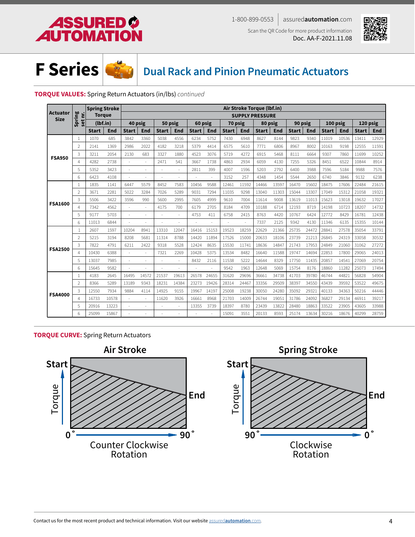





## **Dual Rack and Pinion Pneumatic Actuators**

### **TORQUE VALUES:** Spring Return Actuators (in/lbs) *continued*

|                                |                | <b>Spring Stroke</b> |       |              |       |              |       |              |       |              |       | Air Stroke Torque (lbf.in) |       |              |       |              |            |              |            |
|--------------------------------|----------------|----------------------|-------|--------------|-------|--------------|-------|--------------|-------|--------------|-------|----------------------------|-------|--------------|-------|--------------|------------|--------------|------------|
| <b>Actuator</b><br><b>Size</b> | set nr.        | <b>Torque</b>        |       |              |       |              |       |              |       |              |       | <b>SUPPLY PRESSURE</b>     |       |              |       |              |            |              |            |
|                                | Spring         | (lbf.in)             |       | 40 psig      |       | 50 psig      |       | 60 psig      |       | 70 psig      |       | 80 psig                    |       | 90 psig      |       | 100 psig     |            | 120 psig     |            |
|                                |                | <b>Start</b>         | End   | <b>Start</b> | End   | <b>Start</b> | End   | <b>Start</b> | End   | <b>Start</b> | End   | <b>Start</b>               | End   | <b>Start</b> | End   | <b>Start</b> | <b>End</b> | <b>Start</b> | <b>End</b> |
|                                | 1              | 1070                 | 685   | 3842         | 3360  | 5038         | 4556  | 6234         | 5752  | 7430         | 6948  | 8627                       | 8144  | 9823         | 9340  | 11019        | 10536      | 13411        | 12929      |
| <b>FSA950</b>                  | $\overline{2}$ | 2141                 | 1369  | 2986         | 2022  | 4182         | 3218  | 5379         | 4414  | 6575         | 5610  | 7771                       | 6806  | 8967         | 8002  | 10163        | 9198       | 12555        | 11591      |
|                                | 3              | 3211                 | 2054  | 2130         | 683   | 3327         | 1880  | 4523         | 3076  | 5719         | 4272  | 6915                       | 5468  | 8111         | 6664  | 9307         | 7860       | 11699        | 10252      |
|                                | $\overline{4}$ | 4282                 | 2738  | ×,           | L.    | 2471         | 541   | 3667         | 1738  | 4863         | 2934  | 6059                       | 4130  | 7255         | 5326  | 8451         | 6522       | 10844        | 8914       |
|                                | 5              | 5352                 | 3423  | ×.           | ÷.    | ÷.           | ×.    | 2811         | 399   | 4007         | 1596  | 5203                       | 2792  | 6400         | 3988  | 7596         | 5184       | 9988         | 7576       |
|                                | 6              | 6423                 | 4108  | ÷,           | ä,    | ÷.           |       |              | ÷,    | 3152         | 257   | 4348                       | 1454  | 5544         | 2650  | 6740         | 3846       | 9132         | 6238       |
| <b>FSA1600</b>                 | $\overline{1}$ | 1835                 | 1141  | 6447         | 5579  | 8452         | 7583  | 10456        | 9588  | 12461        | 11592 | 14466                      | 13597 | 16470        | 15602 | 18475        | 17606      | 22484        | 21615      |
|                                | $\overline{2}$ | 3671                 | 2281  | 5022         | 3284  | 7026         | 5289  | 9031         | 7294  | 11035        | 9298  | 13040                      | 11303 | 15044        | 13307 | 17049        | 15312      | 21058        | 19321      |
|                                | 3              | 5506                 | 3422  | 3596         | 990   | 5600         | 2995  | 7605         | 4999  | 9610         | 7004  | 11614                      | 9008  | 13619        | 11013 | 15623        | 13018      | 19632        | 17027      |
|                                | $\overline{4}$ | 7342                 | 4562  | ÷.           | ä,    | 4175         | 700   | 6179         | 2705  | 8184         | 4709  | 10188                      | 6714  | 12193        | 8719  | 14198        | 10723      | 18207        | 14732      |
|                                | 5              | 9177                 | 5703  | $\sim$       | L.    | $\sim$       | ä,    | 4753         | 411   | 6758         | 2415  | 8763                       | 4420  | 10767        | 6424  | 12772        | 8429       | 16781        | 12438      |
|                                | 6              | 11013                | 6844  |              |       |              |       |              |       |              |       | 7337                       | 2125  | 9342         | 4130  | 11346        | 6135       | 15355        | 10144      |
|                                | $\mathbf{1}$   | 2607                 | 1597  | 10204        | 8941  | 13310        | 12047 | 16416        | 15153 | 19523        | 18259 | 22629                      | 21366 | 25735        | 24472 | 28841        | 27578      | 35054        | 33791      |
|                                | $\overline{2}$ | 5215                 | 3194  | 8208         | 5681  | 11314        | 8788  | 14420        | 11894 | 17526        | 15000 | 20633                      | 18106 | 23739        | 21213 | 26845        | 24319      | 33058        | 30532      |
| <b>FSA2500</b>                 | 3              | 7822                 | 4791  | 6211         | 2422  | 9318         | 5528  | 12424        | 8635  | 15530        | 11741 | 18636                      | 14847 | 21743        | 17953 | 24849        | 21060      | 31062        | 27272      |
|                                | 4              | 10430                | 6388  | ×,           | ÷     | 7321         | 2269  | 10428        | 5375  | 13534        | 8482  | 16640                      | 11588 | 19747        | 14694 | 22853        | 17800      | 29065        | 24013      |
|                                | 5              | 13037                | 7985  | ×.           | L.    | ٠            | ÷.    | 8432         | 2116  | 11538        | 5222  | 14644                      | 8329  | 17750        | 11435 | 20857        | 14541      | 27069        | 20754      |
|                                | 6              | 15645                | 9582  |              |       |              |       |              |       | 9542         | 1963  | 12648                      | 5069  | 15754        | 8176  | 18860        | 11282      | 25073        | 17494      |
|                                | $\mathbf{1}$   | 4183                 | 2645  | 16495        | 14572 | 21537        | 19613 | 26578        | 24655 | 31620        | 29696 | 36661                      | 34738 | 41703        | 39780 | 46744        | 44821      | 56828        | 54904      |
|                                | $\overline{2}$ | 8366                 | 5289  | 13189        | 9343  | 18231        | 14384 | 23273        | 19426 | 28314        | 24467 | 33356                      | 29509 | 38397        | 34550 | 43439        | 39592      | 53522        | 49675      |
| <b>FSA4000</b>                 | 3              | 12550                | 7934  | 9884         | 4114  | 14925        | 9155  | 19967        | 14197 | 25008        | 19238 | 30050                      | 24280 | 35092        | 29321 | 40133        | 34363      | 50216        | 44446      |
|                                | $\overline{4}$ | 16733                | 10578 | $\sim$       | ÷     | 11620        | 3926  | 16661        | 8968  | 21703        | 14009 | 26744                      | 19051 | 31786        | 24092 | 36827        | 29134      | 46911        | 39217      |
|                                | 5              | 20916                | 13223 |              | ÷,    |              |       | 13355        | 3739  | 18397        | 8780  | 23439                      | 13822 | 28480        | 18863 | 33522        | 23905      | 43605        | 33988      |
|                                | 6              | 25099                | 15867 |              |       |              |       |              | ä,    | 15091        | 3551  | 20133                      | 8593  | 25174        | 13634 | 30216        | 18676      | 40299        | 28759      |

### **TORQUE CURVE:** Spring Return Actuators

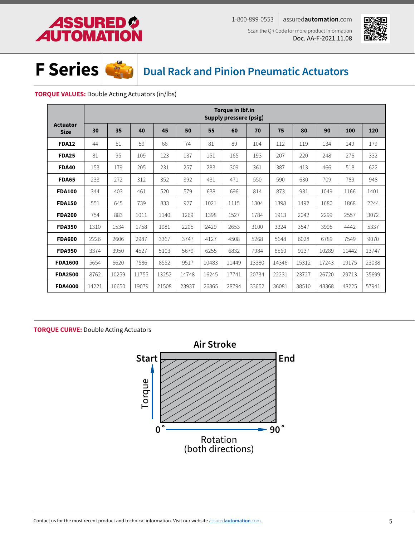# **ASSURED O**<br>**AUTOMATION**

1-800-899-0553 assured**automation**.com Scan the QR Code for more product information Doc. AA-F-2021.11.08





**Dual Rack and Pinion Pneumatic Actuators**

### **TORQUE VALUES:** Double Acting Actuators (in/lbs)

|                                |       |       |       |       |       |       | <b>Torque in lbf.in</b><br>Supply pressure (psig) |       |       |       |       |       |       |
|--------------------------------|-------|-------|-------|-------|-------|-------|---------------------------------------------------|-------|-------|-------|-------|-------|-------|
| <b>Actuator</b><br><b>Size</b> | 30    | 35    | 40    | 45    | 50    | 55    | 60                                                | 70    | 75    | 80    | 90    | 100   | 120   |
| <b>FDA12</b>                   | 44    | 51    | 59    | 66    | 74    | 81    | 89                                                | 104   | 112   | 119   | 134   | 149   | 179   |
| <b>FDA25</b>                   | 81    | 95    | 109   | 123   | 137   | 151   | 165                                               | 193   | 207   | 220   | 248   | 276   | 332   |
| <b>FDA40</b>                   | 153   | 179   | 205   | 231   | 257   | 283   | 309                                               | 361   | 387   | 413   | 466   | 518   | 622   |
| <b>FDA65</b>                   | 233   | 272   | 312   | 352   | 392   | 431   | 471                                               | 550   | 590   | 630   | 709   | 789   | 948   |
| <b>FDA100</b>                  | 344   | 403   | 461   | 520   | 579   | 638   | 696                                               | 814   | 873   | 931   | 1049  | 1166  | 1401  |
| <b>FDA150</b>                  | 551   | 645   | 739   | 833   | 927   | 1021  | 1115                                              | 1304  | 1398  | 1492  | 1680  | 1868  | 2244  |
| <b>FDA200</b>                  | 754   | 883   | 1011  | 1140  | 1269  | 1398  | 1527                                              | 1784  | 1913  | 2042  | 2299  | 2557  | 3072  |
| <b>FDA350</b>                  | 1310  | 1534  | 1758  | 1981  | 2205  | 2429  | 2653                                              | 3100  | 3324  | 3547  | 3995  | 4442  | 5337  |
| <b>FDA600</b>                  | 2226  | 2606  | 2987  | 3367  | 3747  | 4127  | 4508                                              | 5268  | 5648  | 6028  | 6789  | 7549  | 9070  |
| <b>FDA950</b>                  | 3374  | 3950  | 4527  | 5103  | 5679  | 6255  | 6832                                              | 7984  | 8560  | 9137  | 10289 | 11442 | 13747 |
| <b>FDA1600</b>                 | 5654  | 6620  | 7586  | 8552  | 9517  | 10483 | 11449                                             | 13380 | 14346 | 15312 | 17243 | 19175 | 23038 |
| <b>FDA2500</b>                 | 8762  | 10259 | 11755 | 13252 | 14748 | 16245 | 17741                                             | 20734 | 22231 | 23727 | 26720 | 29713 | 35699 |
| <b>FDA4000</b>                 | 14221 | 16650 | 19079 | 21508 | 23937 | 26365 | 28794                                             | 33652 | 36081 | 38510 | 43368 | 48225 | 57941 |

### **TORQUE CURVE:** Double Acting Actuators

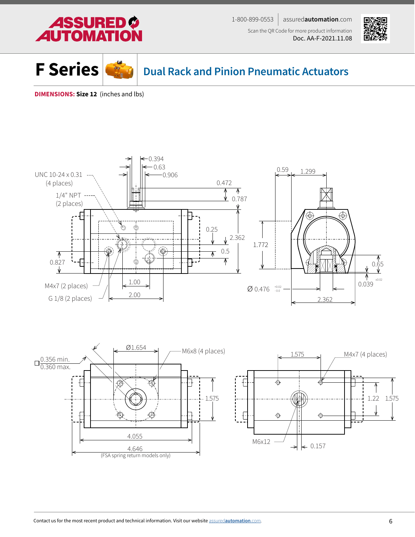<span id="page-5-0"></span>





**Dual Rack and Pinion Pneumatic Actuators**

**DIMENSIONS: Size 12** (inches and lbs)



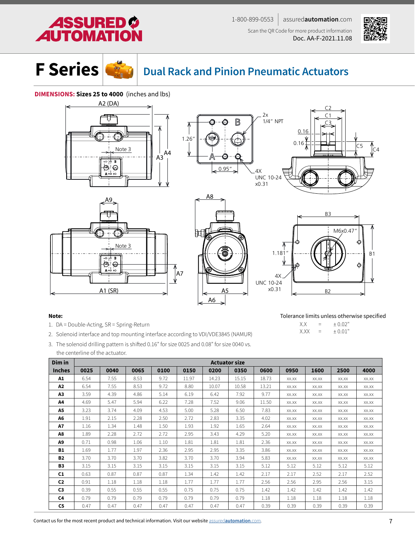# **ASSURED TOMAT**

1-800-899-0553 assured**automation**.com Scan the QR Code for more product information Doc. AA-F-2021.11.08



C4

C5



# **Dual Rack and Pinion Pneumatic Actuators**

### **DIMENSIONS: Sizes 25 to 4000** (inches and lbs)











Tolerance limits unless otherwise specified

 $X.X = \pm 0.02''$ <br> $X.XX = \pm 0.01''$  $=$   $\pm 0.01$ "

#### Note:

- 1. DA = Double-Acting, SR = Spring-Return
- 2. Solenoid interface and top mounting interface according to VDI/VDE3845 (NAMUR)
- 3. The solenoid drilling pattern is shifted 0.16" for size 0025 and 0.08" for size 0040 vs. the centerline of the actuator.

| Dim in         |      |      |      |      |       |       | <b>Actuator size</b> |       |       |       |       |       |
|----------------|------|------|------|------|-------|-------|----------------------|-------|-------|-------|-------|-------|
| <b>Inches</b>  | 0025 | 0040 | 0065 | 0100 | 0150  | 0200  | 0350                 | 0600  | 0950  | 1600  | 2500  | 4000  |
| A1             | 6.54 | 7.55 | 8.53 | 9.72 | 11.97 | 14.23 | 15.15                | 18.73 | XX.XX | XX.XX | XX.XX | XX.XX |
| A2             | 6.54 | 7.55 | 8.53 | 9.72 | 8.80  | 10.07 | 10.58                | 13.21 | XX.XX | XX.XX | XX.XX | XX.XX |
| A3             | 3.59 | 4.39 | 4.86 | 5.14 | 6.19  | 6.42  | 7.92                 | 9.77  | XX.XX | XX.XX | XX.XX | XX.XX |
| A4             | 4.69 | 5.47 | 5.94 | 6.22 | 7.28  | 7.52  | 9.06                 | 11.50 | XX.XX | XX.XX | XX.XX | XX.XX |
| A5             | 3.23 | 3.74 | 4.09 | 4.53 | 5.00  | 5.28  | 6.50                 | 7.83  | XX.XX | XX.XX | XX.XX | XX.XX |
| A6             | 1.91 | 2.15 | 2.28 | 2.50 | 2.72  | 2.83  | 3.35                 | 4.02  | XX.XX | XX.XX | XX.XX | XX.XX |
| A7             | 1.16 | 1.34 | 1.48 | 1.50 | 1.93  | 1.92  | 1.65                 | 2.64  | XX.XX | XX.XX | XX.XX | XX.XX |
| A8             | 1.89 | 2.28 | 2.72 | 2.72 | 2.95  | 3.43  | 4.29                 | 5.20  | XX.XX | XX.XX | XX.XX | XX.XX |
| A9             | 0.71 | 0.98 | 1.06 | 1.10 | 1.81  | 1.81  | 1.81                 | 2.36  | XX.XX | XX.XX | XX.XX | XX.XX |
| <b>B1</b>      | 1.69 | 1.77 | 1.97 | 2.36 | 2.95  | 2.95  | 3.35                 | 3.86  | XX.XX | XX.XX | XX.XX | XX.XX |
| <b>B2</b>      | 3.70 | 3.70 | 3.70 | 3.82 | 3.70  | 3.70  | 3.94                 | 5.83  | XX.XX | XX.XX | XX.XX | XX.XX |
| <b>B3</b>      | 3.15 | 3.15 | 3.15 | 3.15 | 3.15  | 3.15  | 3.15                 | 5.12  | 5.12  | 5.12  | 5.12  | 5.12  |
| C <sub>1</sub> | 0.63 | 0.87 | 0.87 | 0.87 | 1.34  | 1.42  | 1.42                 | 2.17  | 2.17  | 2.52  | 2.17  | 2.52  |
| C <sub>2</sub> | 0.91 | 1.18 | 1.18 | 1.18 | 1.77  | 1.77  | 1.77                 | 2.56  | 2.56  | 2.95  | 2.56  | 3.15  |
| C <sub>3</sub> | 0.39 | 0.55 | 0.55 | 0.55 | 0.75  | 0.75  | 0.75                 | 1.42  | 1.42  | 1.42  | 1.42  | 1.42  |
| C4             | 0.79 | 0.79 | 0.79 | 0.79 | 0.79  | 0.79  | 0.79                 | 1.18  | 1.18  | 1.18  | 1.18  | 1.18  |
| C5             | 0.47 | 0.47 | 0.47 | 0.47 | 0.47  | 0.47  | 0.47                 | 0.39  | 0.39  | 0.39  | 0.39  | 0.39  |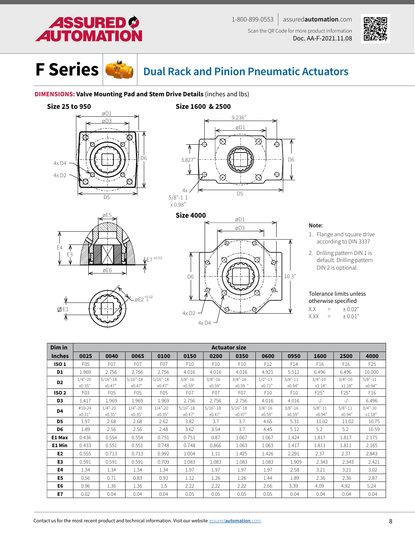





# **Dual Rack and Pinion Pneumatic Actuators**

### **DIMENSIONS: Valve Mounting Pad and Stem Drive Details** (inches and lbs)

### **Size 25 to 950**











### Note:

- 1. Flange and square drive according to DIN 3337
- 2. Drilling pattern DIN 1 is default. Drilling pattern DIN 2 is optional.

Tolerance limits unless otherwise specified  $X.X = \pm 0.02$ "

 $X.XX = \pm 0.01$ "

| Dim in         |                      |                        |                       |                       |                       |                       | <b>Actuator size</b>   |                      |                       |                      |                      |                       |
|----------------|----------------------|------------------------|-----------------------|-----------------------|-----------------------|-----------------------|------------------------|----------------------|-----------------------|----------------------|----------------------|-----------------------|
| <b>Inches</b>  | 0025                 | 0040                   | 0065                  | 0100                  | 0150                  | 0200                  | 0350                   | 0600                 | 0950                  | 1600                 | 2500                 | 4000                  |
| <b>ISO1</b>    | F05                  | F <sub>0</sub> 7       | F <sub>0</sub> 7      | F <sub>0</sub> 7      | F <sub>10</sub>       | F <sub>10</sub>       | F <sub>10</sub>        | F <sub>12</sub>      | F14                   | F <sub>16</sub>      | F <sub>16</sub>      | F <sub>25</sub>       |
| D1             | 1.969                | 2.756                  | 2.756                 | 2.756                 | 4.016                 | 4.016                 | 4.016                  | 4.921                | 5.512                 | 6.496                | 6.496                | 10.000                |
| D <sub>2</sub> | $1/4$ "-20<br>x0.35" | $5/16" - 18$<br>x0.47" | $5/16 - 18$<br>x0.47" | $5/16 - 18$<br>x0.47" | $3/8" - 16$<br>x0.59" | $3/8" - 16$<br>x0.59" | $3/8" - 16$<br>x0.59 " | $1/2$ "-13<br>x0.71" | $5/8" - 11$<br>x0.94" | $3/4 - 10$<br>x1.18" | $3/4 - 10$<br>x1.18" | $5/8" - 11$<br>x0.94" |
| <b>ISO 2</b>   | F <sub>0</sub> 3     | F <sub>05</sub>        | F05                   | F <sub>05</sub>       | F <sub>0</sub> 7      | F <sub>0</sub> 7      | F <sub>0</sub> 7       | F <sub>10</sub>      | F10                   | $F25*$               | $F25*$               | F <sub>16</sub>       |
| D3             | 1.417                | 1.969                  | 1.969                 | 1.969                 | 2.756                 | 2.756                 | 2.756                  | 4.016                | 4.016                 | $-/-$                | $-/-$                | 6.496                 |
| D4             | #10-24               | $1/4" - 20$            | $1/4$ "-20            | $1/4$ "-20            | $5/16 - 18$           | $5/16 - 18$           | $5/16 - 18$            | $3/8" - 16$          | $3/8" - 16$           | $5/8" - 11$          | $5/8" - 11$          | $3/4 - 10$            |
|                | x0.31"               | x0.35"                 | x0.35"                | x0.35"                | x0.47"                | x0.47"                | x0.47"                 | x0.59"               | x0.59"                | x0.94"               | x0.94"               | x1.18"                |
| D <sub>5</sub> | 1.97                 | 2.68                   | 2.68                  | 2.62                  | 3.82                  | 3.7                   | 3.7                    | 4.65                 | 5.31                  | 11.02                | 11.02                | 10.75                 |
| D <sub>6</sub> | 1.89                 | 2.56                   | 2.56                  | 2.48                  | 3.62                  | 3.54                  | 3.7                    | 4.45                 | 5.12                  | 5.2                  | 5.2                  | 10.59                 |
| E1 Max         | 0.436                | 0.554                  | 0.554                 | 0.751                 | 0.751                 | 0.87                  | 1.067                  | 1.067                | 1.424                 | 1.817                | 1.817                | 2.175                 |
| E1 Min         | 0.433                | 0.551                  | 0.551                 | 0.748                 | 0.748                 | 0.866                 | 1.063                  | 1.063                | 1.417                 | 1.811                | 1.811                | 2.165                 |
| E <sub>2</sub> | 0.555                | 0.713                  | 0.713                 | 0.992                 | 1.004                 | 1.11                  | 1.425                  | 1.426                | 2.291                 | 2.37                 | 2.37                 | 2.843                 |
| E3             | 0.591                | 0.591                  | 0.591                 | 0.709                 | 1.083                 | 1.083                 | 1.083                  | 1.083                | 1.909                 | 2.343                | 2.343                | 2.421                 |
| E4             | 1.34                 | 1.34                   | 1.34                  | 1.34                  | 1.97                  | 1.97                  | 1.97                   | 1.97                 | 2.58                  | 3.21                 | 3.21                 | 3.02                  |
| E5             | 0.56                 | 0.71                   | 0.83                  | 0.93                  | 1.12                  | 1.26                  | 1.26                   | 1.44                 | 1.89                  | 2.36                 | 2.36                 | 2.87                  |
| E6             | 0.96                 | 1.36                   | 1.36                  | 1.5                   | 2.22                  | 2.22                  | 2.22                   | 2.66                 | 3.39                  | 4.09                 | 4.92                 | 5.24                  |
| E7             | 0.02                 | 0.04                   | 0.04                  | 0.04                  | 0.05                  | 0.05                  | 0.05                   | 0.05                 | 0.04                  | 0.04                 | 0.04                 | 0.04                  |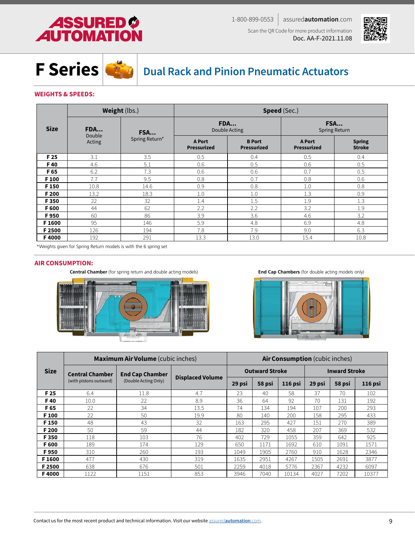# **ASSURED O<br>AUTOMATION**





**Dual Rack and Pinion Pneumatic Actuators**

### **WEIGHTS & SPEEDS:**

|                  |               | <b>Weight (lbs.)</b> |                              | <b>Speed (Sec.)</b>                 |                              |                                |  |  |  |  |  |  |  |
|------------------|---------------|----------------------|------------------------------|-------------------------------------|------------------------------|--------------------------------|--|--|--|--|--|--|--|
| <b>Size</b>      | FDA<br>Double | FSA                  |                              | <b>FDA</b><br>Double Acting         | FSA<br><b>Spring Return</b>  |                                |  |  |  |  |  |  |  |
|                  | Acting        | Spring Return*       | <b>A Port</b><br>Pressurized | <b>B</b> Port<br><b>Pressurized</b> | <b>A Port</b><br>Pressurized | <b>Spring</b><br><b>Stroke</b> |  |  |  |  |  |  |  |
| F 25             | 3.1           | 3.5                  | 0.5                          | 0.4                                 | 0.5                          | 0.4                            |  |  |  |  |  |  |  |
| F40              | 4.6           | 5.1                  | 0.6                          | 0.5                                 | 0.6                          | 0.5                            |  |  |  |  |  |  |  |
| F 65             | 6.2           | 7.3                  | 0.6                          | 0.6                                 | 0.7                          | 0.5                            |  |  |  |  |  |  |  |
| F <sub>100</sub> | 7.7           | 9.5                  | 0.8                          | 0.7                                 | 0.8                          | 0.6                            |  |  |  |  |  |  |  |
| F <sub>150</sub> | 10.8          | 14.6                 | 0.9                          | 0.8                                 | 1.0                          | 0.8                            |  |  |  |  |  |  |  |
| F 200            | 13.2          | 18.3                 | 1.0                          | 1.0                                 | 1.3                          | 0.9                            |  |  |  |  |  |  |  |
| F350             | 22            | 32                   | 1.4                          | 1.5                                 | 1.9                          | 1.3                            |  |  |  |  |  |  |  |
| F 600            | 44            | 62                   | 2.2                          | 2.2                                 | 3.2                          | 1.9                            |  |  |  |  |  |  |  |
| F950             | 60            | 86                   | 3.9                          | 3.6                                 | 4.6                          | 3.2                            |  |  |  |  |  |  |  |
| F1600            | 95            | 146                  | 5.9                          | 4.8                                 | 6.9                          | 4.8                            |  |  |  |  |  |  |  |
| F 2500           | 126           | 194                  | 7.8                          | 7.9                                 | 9.0                          | 6.3                            |  |  |  |  |  |  |  |
| F4000            | 192           | 291                  | 13.3                         | 13.0                                | 15.4                         | 10.8                           |  |  |  |  |  |  |  |

\*Weights given for Spring Return models is with the 6 spring set

#### **AIR CONSUMPTION:**

**Central Chamber** (for spring return and double acting models) **End Cap Chambers** (for double acting models only)





|                  |                        | <b>Maximum Air Volume</b> (cubic inches) |                         | <b>Air Consumption</b> (cubic inches) |                       |         |                      |        |         |  |  |  |
|------------------|------------------------|------------------------------------------|-------------------------|---------------------------------------|-----------------------|---------|----------------------|--------|---------|--|--|--|
| <b>Size</b>      | <b>Central Chamber</b> | <b>End Cap Chamber</b>                   |                         |                                       | <b>Outward Stroke</b> |         | <b>Inward Stroke</b> |        |         |  |  |  |
|                  | (with pistons outward) | (Double Acting Only)                     | <b>Displaced Volume</b> | 29 psi                                | 58 psi                | 116 psi | 29 psi               | 58 psi | 116 psi |  |  |  |
| F 25             | 6.4                    | 11.8                                     | 4.7                     | 23                                    | 40                    | 58      | 37                   | 70     | 102     |  |  |  |
| F40              | 10.0                   | 22                                       | 8.9                     | 36                                    | 64                    | 92      | 70                   | 131    | 192     |  |  |  |
| F 65             | 22                     | 34                                       | 13.5                    | 74                                    | 134                   | 194     | 107                  | 200    | 293     |  |  |  |
| F <sub>100</sub> | 22                     | 50                                       | 19.9                    | 80                                    | 140                   | 200     | 158                  | 295    | 433     |  |  |  |
| F <sub>150</sub> | 48                     | 43                                       | 32                      | 163                                   | 295                   | 427     | 151                  | 270    | 389     |  |  |  |
| F 200            | 50                     | 59                                       | 44                      | 182                                   | 320                   | 458     | 207                  | 369    | 532     |  |  |  |
| F350             | 118                    | 103                                      | 76                      | 402                                   | 729                   | 1055    | 359                  | 642    | 925     |  |  |  |
| F 600            | 189                    | 174                                      | 129                     | 650                                   | 1171                  | 1692    | 610                  | 1091   | 1571    |  |  |  |
| F950             | 310                    | 260                                      | 193                     | 1049                                  | 1905                  | 2760    | 910                  | 1628   | 2346    |  |  |  |
| F1600            | 477                    | 430                                      | 319                     | 1635                                  | 2951                  | 4267    | 1505                 | 2691   | 3877    |  |  |  |
| F 2500           | 638                    | 676                                      | 501                     | 2259                                  | 4018                  | 5776    | 2367                 | 4232   | 6097    |  |  |  |
| F4000            | 1122                   | 1151                                     | 853                     | 3946                                  | 7040                  | 10134   | 4027                 | 7202   | 10377   |  |  |  |